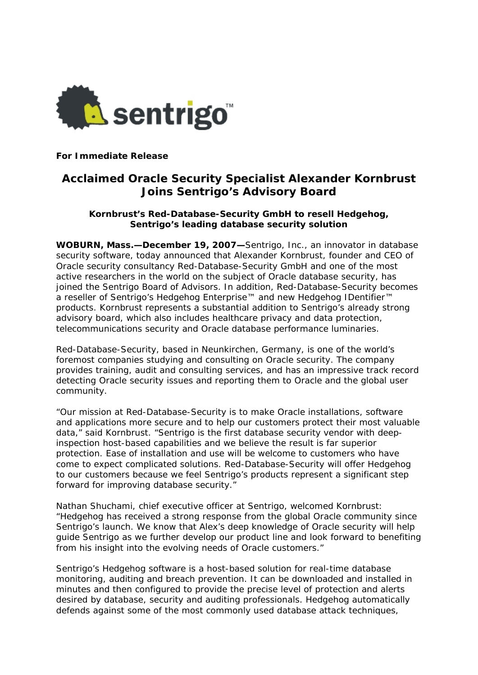

**For Immediate Release** 

# **Acclaimed Oracle Security Specialist Alexander Kornbrust Joins Sentrigo's Advisory Board**

## **Kornbrust's Red-Database-Security GmbH to resell Hedgehog, Sentrigo's leading database security solution**

**WOBURN, Mass.—December 19, 2007—**Sentrigo, Inc., an innovator in database security software, today announced that Alexander Kornbrust, founder and CEO of Oracle security consultancy Red-Database-Security GmbH and one of the most active researchers in the world on the subject of Oracle database security, has joined the Sentrigo Board of Advisors. In addition, Red-Database-Security becomes a reseller of Sentrigo's Hedgehog Enterprise™ and new Hedgehog IDentifier™ products. Kornbrust represents a substantial addition to Sentrigo's already strong advisory board, which also includes healthcare privacy and data protection, telecommunications security and Oracle database performance luminaries.

Red-Database-Security, based in Neunkirchen, Germany, is one of the world's foremost companies studying and consulting on Oracle security. The company provides training, audit and consulting services, and has an impressive track record detecting Oracle security issues and reporting them to Oracle and the global user community.

"Our mission at Red-Database-Security is to make Oracle installations, software and applications more secure and to help our customers protect their most valuable data," said Kornbrust. "Sentrigo is the first database security vendor with deepinspection host-based capabilities and we believe the result is far superior protection. Ease of installation and use will be welcome to customers who have come to expect complicated solutions. Red-Database-Security will offer Hedgehog to our customers because we feel Sentrigo's products represent a significant step forward for improving database security."

Nathan Shuchami, chief executive officer at Sentrigo, welcomed Kornbrust: "Hedgehog has received a strong response from the global Oracle community since Sentrigo's launch. We know that Alex's deep knowledge of Oracle security will help guide Sentrigo as we further develop our product line and look forward to benefiting from his insight into the evolving needs of Oracle customers."

Sentrigo's Hedgehog software is a host-based solution for real-time database monitoring, auditing and breach prevention. It can be downloaded and installed in minutes and then configured to provide the precise level of protection and alerts desired by database, security and auditing professionals. Hedgehog automatically defends against some of the most commonly used database attack techniques,